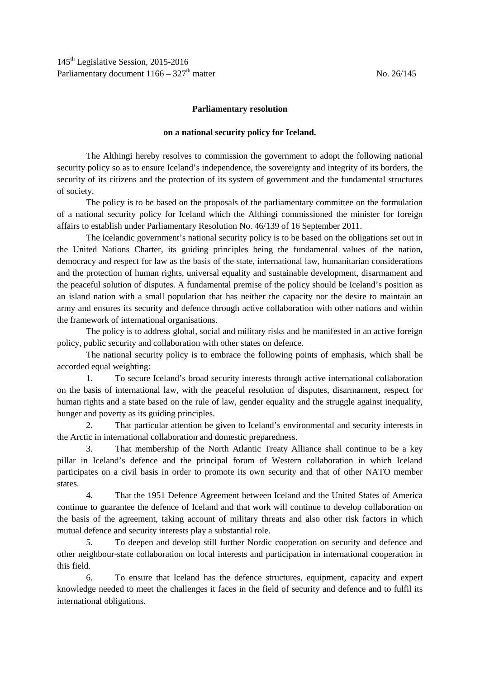## **Parliamentary resolution**

## **on a national security policy for Iceland.**

The Althingi hereby resolves to commission the government to adopt the following national security policy so as to ensure Iceland's independence, the sovereignty and integrity of its borders, the security of its citizens and the protection of its system of government and the fundamental structures of society.

The policy is to be based on the proposals of the parliamentary committee on the formulation of a national security policy for Iceland which the Althingi commissioned the minister for foreign affairs to establish under Parliamentary Resolution No. 46/139 of 16 September 2011.

The Icelandic government's national security policy is to be based on the obligations set out in the United Nations Charter, its guiding principles being the fundamental values of the nation, democracy and respect for law as the basis of the state, international law, humanitarian considerations and the protection of human rights, universal equality and sustainable development, disarmament and the peaceful solution of disputes. A fundamental premise of the policy should be Iceland's position as an island nation with a small population that has neither the capacity nor the desire to maintain an army and ensures its security and defence through active collaboration with other nations and within the framework of international organisations.

The policy is to address global, social and military risks and be manifested in an active foreign policy, public security and collaboration with other states on defence.

The national security policy is to embrace the following points of emphasis, which shall be accorded equal weighting:

1. To secure Iceland's broad security interests through active international collaboration on the basis of international law, with the peaceful resolution of disputes, disarmament, respect for human rights and a state based on the rule of law, gender equality and the struggle against inequality, hunger and poverty as its guiding principles.

2. That particular attention be given to Iceland's environmental and security interests in the Arctic in international collaboration and domestic preparedness.

3. That membership of the North Atlantic Treaty Alliance shall continue to be a key pillar in Iceland's defence and the principal forum of Western collaboration in which Iceland participates on a civil basis in order to promote its own security and that of other NATO member states.

4. That the 1951 Defence Agreement between Iceland and the United States of America continue to guarantee the defence of Iceland and that work will continue to develop collaboration on the basis of the agreement, taking account of military threats and also other risk factors in which mutual defence and security interests play a substantial role.

5. To deepen and develop still further Nordic cooperation on security and defence and other neighbour-state collaboration on local interests and participation in international cooperation in this field.

6. To ensure that Iceland has the defence structures, equipment, capacity and expert knowledge needed to meet the challenges it faces in the field of security and defence and to fulfil its international obligations.